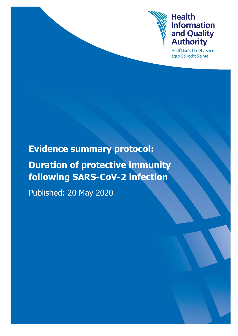

## **Health Information** and Quality<br>Authority

An tÚdarás Um Fhaisnéis agus Cáilíocht Sláinte

## **Evidence summary protocol:**

# **Duration of protective immunity following SARS-CoV-2 infection**

Published: 20 May 2020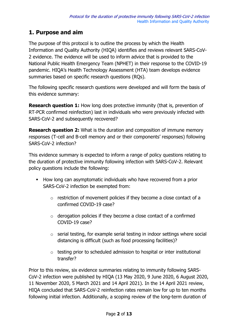## **1. Purpose and aim**

The purpose of this protocol is to outline the process by which the Health Information and Quality Authority (HIQA) identifies and reviews relevant SARS-CoV-2 evidence. The evidence will be used to inform advice that is provided to the National Public Health Emergency Team (NPHET) in their response to the COVID-19 pandemic. HIQA's Health Technology Assessment (HTA) team develops evidence summaries based on specific research questions (RQs).

The following specific research questions were developed and will form the basis of this evidence summary:

**Research question 1:** How long does protective immunity (that is, prevention of RT-PCR confirmed reinfection) last in individuals who were previously infected with SARS-CoV-2 and subsequently recovered?

**Research question 2:** What is the duration and composition of immune memory responses (T-cell and B-cell memory and or their components' responses) following SARS-CoV-2 infection?

This evidence summary is expected to inform a range of policy questions relating to the duration of protective immunity following infection with SARS-CoV-2. Relevant policy questions include the following:

- How long can asymptomatic individuals who have recovered from a prior SARS-CoV-2 infection be exempted from:
	- o restriction of movement policies if they become a close contact of a confirmed COVID-19 case?
	- $\circ$  derogation policies if they become a close contact of a confirmed COVID-19 case?
	- o serial testing, for example serial testing in indoor settings where social distancing is difficult (such as food processing facilities)?
	- o testing prior to scheduled admission to hospital or inter institutional transfer?

Prior to this review, six evidence summaries relating to immunity following SARS-CoV-2 infection were published by HIQA (13 May 2020, 9 June 2020, 6 August 2020, 11 November 2020, 5 March 2021 and 14 April 2021). In the 14 April 2021 review, HIQA concluded that SARS-CoV-2 reinfection rates remain low for up to ten months following initial infection. Additionally, a scoping review of the long-term duration of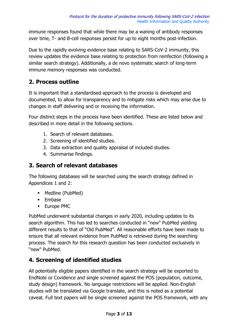immune responses found that while there may be a waning of antibody responses over time, T- and B-cell responses persist for up to eight months post-infection.

Due to the rapidly evolving evidence base relating to SARS-CoV-2 immunity, this review updates the evidence base relating to protection from reinfection (following a similar search strategy). Additionally, a de novo systematic search of long-term immune memory responses was conducted.

## **2. Process outline**

It is important that a standardised approach to the process is developed and documented, to allow for transparency and to mitigate risks which may arise due to changes in staff delivering and or receiving the information.

Four distinct steps in the process have been identified. These are listed below and described in more detail in the following sections.

- 1. Search of relevant databases.
- 2. Screening of identified studies.
- 3. Data extraction and quality appraisal of included studies.
- 4. Summarise findings.

### **3. Search of relevant databases**

The following databases will be searched using the search strategy defined in Appendices 1 and 2:

- Medline (PubMed)
- **Embase**
- **Europe PMC**

PubMed underwent substantial changes in early 2020, including updates to its search algorithm. This has led to searches conducted in "new" PubMed yielding different results to that of "Old PubMed". All reasonable efforts have been made to ensure that all relevant evidence from PubMed is retrieved during the searching process. The search for this research question has been conducted exclusively in "new" PubMed.

## **4. Screening of identified studies**

All potentially eligible papers identified in the search strategy will be exported to EndNote or Covidence and single screened against the POS (population, outcome, study design) framework. No language restrictions will be applied. Non-English studies will be translated via Google translate, and this is noted as a potential caveat. Full text papers will be single screened against the POS framework, with any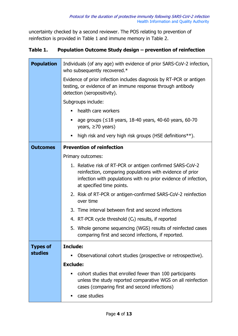uncertainty checked by a second reviewer. The POS relating to prevention of reinfection is provided in Table 1 and immune memory in Table 2.

#### **Table 1. Population Outcome Study design – prevention of reinfection**

| <b>Population</b> | Individuals (of any age) with evidence of prior SARS-CoV-2 infection,<br>who subsequently recovered.*                                                                                                                   |  |  |  |
|-------------------|-------------------------------------------------------------------------------------------------------------------------------------------------------------------------------------------------------------------------|--|--|--|
|                   | Evidence of prior infection includes diagnosis by RT-PCR or antigen<br>testing, or evidence of an immune response through antibody<br>detection (seropositivity).                                                       |  |  |  |
|                   | Subgroups include:                                                                                                                                                                                                      |  |  |  |
|                   | health care workers                                                                                                                                                                                                     |  |  |  |
|                   | age groups (≤18 years, 18-40 years, 40-60 years, 60-70<br>years, $\geq 70$ years)                                                                                                                                       |  |  |  |
|                   | high risk and very high risk groups (HSE definitions**).<br>п                                                                                                                                                           |  |  |  |
| <b>Outcomes</b>   | <b>Prevention of reinfection</b>                                                                                                                                                                                        |  |  |  |
|                   | Primary outcomes:                                                                                                                                                                                                       |  |  |  |
|                   | 1. Relative risk of RT-PCR or antigen confirmed SARS-CoV-2<br>reinfection, comparing populations with evidence of prior<br>infection with populations with no prior evidence of infection,<br>at specified time points. |  |  |  |
|                   | 2. Risk of RT-PCR or antigen-confirmed SARS-CoV-2 reinfection<br>over time                                                                                                                                              |  |  |  |
|                   | 3. Time interval between first and second infections                                                                                                                                                                    |  |  |  |
|                   | 4. RT-PCR cycle threshold $(C_t)$ results, if reported                                                                                                                                                                  |  |  |  |
|                   | 5. Whole genome sequencing (WGS) results of reinfected cases<br>comparing first and second infections, if reported.                                                                                                     |  |  |  |
| <b>Types of</b>   | Include:                                                                                                                                                                                                                |  |  |  |
| <b>studies</b>    | Observational cohort studies (prospective or retrospective).                                                                                                                                                            |  |  |  |
|                   | <b>Exclude:</b>                                                                                                                                                                                                         |  |  |  |
|                   | cohort studies that enrolled fewer than 100 participants<br>unless the study reported comparative WGS on all reinfection<br>cases (comparing first and second infections)                                               |  |  |  |
|                   | case studies<br>٠                                                                                                                                                                                                       |  |  |  |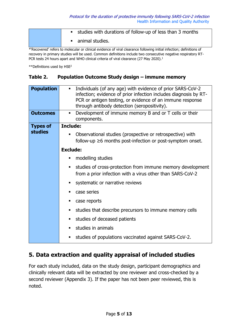| studies with durations of follow-up of less than 3 months |
|-----------------------------------------------------------|
| • animal studies.                                         |

\*'Recovered' refers to molecular or clinical evidence of viral clearance following initial infection; definitions of recovery in primary studies will be used. Common definitions include two consecutive negative respiratory RT-PCR tests 24 hours apart and WHO clinical criteria of viral clearance (27 May 2020).<sup>1</sup>

\*\*Definitions used by HSE<sup>2</sup>

#### **Table 2. Population Outcome Study design – immune memory**

| <b>Population</b> | Individuals (of any age) with evidence of prior SARS-CoV-2<br>п<br>infection; evidence of prior infection includes diagnosis by RT-<br>PCR or antigen testing, or evidence of an immune response<br>through antibody detection (seropositivity). |  |  |
|-------------------|--------------------------------------------------------------------------------------------------------------------------------------------------------------------------------------------------------------------------------------------------|--|--|
| <b>Outcomes</b>   | Development of immune memory B and or T cells or their<br>٠<br>components.                                                                                                                                                                       |  |  |
| <b>Types of</b>   | <b>Include:</b>                                                                                                                                                                                                                                  |  |  |
| studies           | Observational studies (prospective or retrospective) with<br>follow-up $\geq 6$ months post-infection or post-symptom onset.                                                                                                                     |  |  |
|                   | <b>Exclude:</b>                                                                                                                                                                                                                                  |  |  |
|                   | modelling studies                                                                                                                                                                                                                                |  |  |
|                   | studies of cross-protection from immune memory development<br>п<br>from a prior infection with a virus other than SARS-CoV-2                                                                                                                     |  |  |
|                   | systematic or narrative reviews<br>٠                                                                                                                                                                                                             |  |  |
|                   | case series                                                                                                                                                                                                                                      |  |  |
|                   | case reports                                                                                                                                                                                                                                     |  |  |
|                   | studies that describe precursors to immune memory cells                                                                                                                                                                                          |  |  |
|                   | studies of deceased patients                                                                                                                                                                                                                     |  |  |
|                   | studies in animals                                                                                                                                                                                                                               |  |  |
|                   | studies of populations vaccinated against SARS-CoV-2.                                                                                                                                                                                            |  |  |

## **5. Data extraction and quality appraisal of included studies**

For each study included, data on the study design, participant demographics and clinically relevant data will be extracted by one reviewer and cross-checked by a second reviewer (Appendix 3). If the paper has not been peer reviewed, this is noted.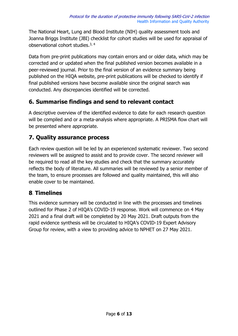The National Heart, Lung and Blood Institute (NIH) quality assessment tools and Joanna Briggs Institute (JBI) checklist for cohort studies will be used for appraisal of observational cohort studies.<sup>3, 4</sup>

Data from pre-print publications may contain errors and or older data, which may be corrected and or updated when the final published version becomes available in a peer-reviewed journal. Prior to the final version of an evidence summary being published on the HIQA website, pre-print publications will be checked to identify if final published versions have become available since the original search was conducted. Any discrepancies identified will be corrected.

## **6. Summarise findings and send to relevant contact**

A descriptive overview of the identified evidence to date for each research question will be compiled and or a meta-analysis where appropriate. A PRISMA flow chart will be presented where appropriate.

## **7. Quality assurance process**

Each review question will be led by an experienced systematic reviewer. Two second reviewers will be assigned to assist and to provide cover. The second reviewer will be required to read all the key studies and check that the summary accurately reflects the body of literature. All summaries will be reviewed by a senior member of the team, to ensure processes are followed and quality maintained, this will also enable cover to be maintained.

## **8**. **Timelines**

This evidence summary will be conducted in line with the processes and timelines outlined for Phase 2 of HIQA's COVID-19 response. Work will commence on 4 May 2021 and a final draft will be completed by 20 May 2021. Draft outputs from the rapid evidence synthesis will be circulated to HIQA's COVID-19 Expert Advisory Group for review, with a view to providing advice to NPHET on 27 May 2021.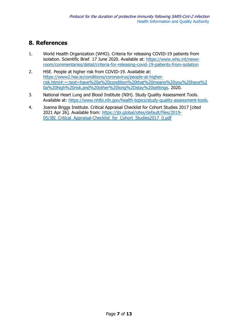## **8. References**

- 1. World Health Organization (WHO). Criteria for releasing COVID-19 patients from isolation. Scientific Brief. 17 June 2020. Available at: [https://www.who.int/news](https://www.who.int/news-room/commentaries/detail/criteria-for-releasing-covid-19-patients-from-isolation)[room/commentaries/detail/criteria-for-releasing-covid-19-patients-from-isolation](https://www.who.int/news-room/commentaries/detail/criteria-for-releasing-covid-19-patients-from-isolation)
- 2. HSE. People at higher risk from COVID-19. Available at: [https://www2.hse.ie/conditions/coronavirus/people-at-higher](https://www2.hse.ie/conditions/coronavirus/people-at-higher-risk.html#:~:text=have%20a%20condition%20that%20means%20you%20have%20a%20high%20risk,and%20other%20long%2Dstay%20settings)[risk.html#:~:text=have%20a%20condition%20that%20means%20you%20have%2](https://www2.hse.ie/conditions/coronavirus/people-at-higher-risk.html#:~:text=have%20a%20condition%20that%20means%20you%20have%20a%20high%20risk,and%20other%20long%2Dstay%20settings) [0a%20high%20risk,and%20other%20long%2Dstay%20settings.](https://www2.hse.ie/conditions/coronavirus/people-at-higher-risk.html#:~:text=have%20a%20condition%20that%20means%20you%20have%20a%20high%20risk,and%20other%20long%2Dstay%20settings) 2020.
- 3. National Heart Lung and Blood Institute (NIH). Study Quality Assessment Tools. Available at: [https://www.nhlbi.nih.gov/health-topics/study-quality-assessment-tools.](https://www.nhlbi.nih.gov/health-topics/study-quality-assessment-tools)
- 4. Joanna Briggs Institute. Critical Appraisal Checklist for Cohort Studies 2017 [cited 2021 Apr 26]. Available from: https://jbi.global/sites/default/files/2019- 05/JBI\_Critical\_Appraisal-Checklist\_for\_Cohort\_Studies2017\_0.pdf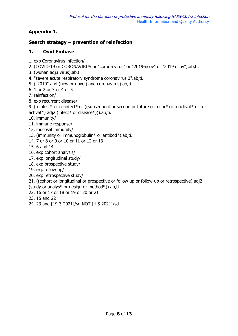#### **Appendix 1.**

#### **Search strategy – prevention of reinfection**

#### **1. Ovid Embase**

- 1. exp Coronavirus infection/
- 2. (COVID-19 or CORONAVIRUS or "corona virus" or "2019-ncov" or "2019 ncov").ab,ti.
- 3. (wuhan adj3 virus).ab,ti.
- 4. "severe acute respiratory syndrome coronavirus 2".ab,ti.
- 5. ("2019" and (new or novel) and coronavirus).ab,ti.
- 6. 1 or 2 or 3 or 4 or 5
- 7. reinfection/
- 8. exp recurrent disease/

9. (reinfect\* or re-infect\* or ((subsequent or second or future or recur\* or reactivat\* or reactivat\*) adj2 (infect\* or disease\*))).ab,ti.

- 10. immunity/
- 11. immune response/
- 12. mucosal immunity/
- 13. (immunity or immunoglobulin\* or antibod\*).ab,ti.
- 14. 7 or 8 or 9 or 10 or 11 or 12 or 13
- 15. 6 and 14
- 16. exp cohort analysis/
- 17. exp longitudinal study/
- 18. exp prospective study/
- 19. exp follow up/
- 20. exp retrospective study/

21. ((cohort or longitudinal or prospective or follow up or follow-up or retrospective) adj2 (study or analys\* or design or method\*)).ab,ti.

- 22. 16 or 17 or 18 or 19 or 20 or 21
- 23. 15 and 22
- 24. 23 and [19-3-2021]/sd NOT [4-5-2021]/sd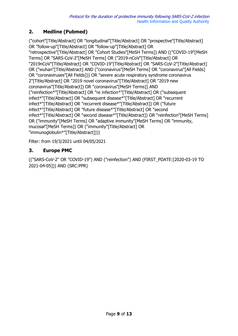#### **2. Medline (Pubmed)**

("cohort"[Title/Abstract] OR "longitudinal"[Title/Abstract] OR "prospective"[Title/Abstract] OR "follow-up"[Title/Abstract] OR "follow-up"[Title/Abstract] OR "retrospective"[Title/Abstract] OR "Cohort Studies"[MeSH Terms]) AND (("COVID-19"[MeSH Terms] OR "SARS-CoV-2"[MeSH Terms] OR ("2019-nCoV"[Title/Abstract] OR "2019nCoV"[Title/Abstract] OR "COVID-19"[Title/Abstract] OR "SARS-CoV-2"[Title/Abstract] OR ("wuhan"[Title/Abstract] AND ("coronavirus"[MeSH Terms] OR "coronavirus"[All Fields] OR "coronaviruses"[All Fields])) OR "severe acute respiratory syndrome coronavirus 2"[Title/Abstract] OR "2019 novel coronavirus"[Title/Abstract] OR "2019 new coronavirus"[Title/Abstract]) OR "coronavirus"[MeSH Terms]) AND ("reinfection\*"[Title/Abstract] OR "re infection\*"[Title/Abstract] OR ("subsequent infect\*"[Title/Abstract] OR "subsequent disease\*"[Title/Abstract] OR "recurrent infect\*"[Title/Abstract] OR "recurrent disease\*"[Title/Abstract]) OR ("future infect\*"[Title/Abstract] OR "future disease\*"[Title/Abstract] OR "second infect\*"[Title/Abstract] OR "second disease\*"[Title/Abstract]) OR "reinfection"[MeSH Terms] OR ("immunity"[MeSH Terms] OR "adaptive immunity"[MeSH Terms] OR "immunity, mucosal"[MeSH Terms]) OR ("immunity"[Title/Abstract] OR "immunoglobulin\*"[Title/Abstract])))

Filter: from 19/3/2021 until 04/05/2021

#### **3. Europe PMC**

(("SARS-CoV-2" OR "COVID-19") AND ("reinfection") AND (FIRST\_PDATE:[2020-03-19 TO 2021-04-05])) AND (SRC:PPR)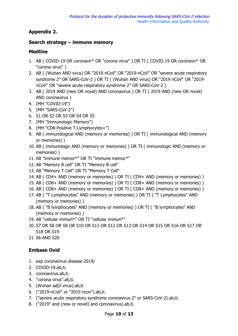#### **Appendix 2.**

#### **Search strategy – immune memory**

#### **Medline**

- 1. AB ( COVID-19 OR coronavir\* OR "corona virus" ) OR TI ( COVID-19 OR coronavir\* OR "corona virus" )
- 2. AB ( (Wuhan AND virus) OR "2019 nCoV" OR "2019-nCoV" OR "severe acute respiratory syndrome 2" OR SARS-CoV-2 ) OR TI ( (Wuhan AND virus) OR "2019 nCoV" OR "2019 nCoV" OR "severe acute respiratory syndrome 2" OR SARS-CoV-2 )
- 3. AB ( 2019 AND (new OR novel) AND coronavirus ) OR TI ( 2019 AND (new OR novel) AND coronavirus )
- 4. (MH "COVID-19")
- 5. (MH "SARS-CoV-2")
- 6. S1 OR S2 OR S3 OR S4 OR S5
- 7. (MH "Immunologic Memory")
- 8. (MH "CD8-Positive T-Lymphocytes+")
- 9. AB ( immunological AND (memory or memories) ) OR TI ( immunological AND (memory or memories) )
- 10. AB ( immunologic AND (memory or memories) ) OR TI ( immunologic AND (memory or memories) )
- 11. AB "immune memor\*" OR TI "immune memor\*"
- 12. AB "Memory B cell" OR TI "Memory B cell"
- 13. AB "Memory T Cell" OR TI "Memory T Cell"
- 14. AB ( CD4+ AND (memory or memories) ) OR TI ( CD4+ AND (memory or memories) )
- 15. AB ( CD8+ AND (memory or memories) ) OR TI ( CD8+ AND (memory or memories) )
- 16. AB ( CD8+ AND (memory or memories) ) OR TI ( CD8+ AND (memory or memories) )
- 17. AB ( "T Lymphocytes" AND (memory or memories) ) OR TI ( "T Lymphocytes" AND (memory or memories) )
- 18. AB ( "B lymphocytes" AND (memory or memories) ) OR TI ( "B lymphocytes" AND (memory or memories) )
- 19. AB "cellular immun\*" OR TI "cellular immun\*"
- 20. S7 OR S8 OR S9 OR S10 OR S11 OR S12 OR S13 OR S14 OR S15 OR S16 OR S17 OR S18 OR S19
- 21. S6 AND S20

#### **Embase Ovid**

- 1. exp coronavirus disease 2019/
- 2. COVID-19.ab,ti.
- 3. coronavirus.ab,ti.
- 4. "corona virus".ab,ti.
- 5. (Wuhan adj3 virus).ab,ti.
- 6. ("2019-nCoV" or "2019 ncov").ab,ti.
- 7. ("severe acute respiratory syndrome coronavirus 2" or SARS-CoV-2).ab,ti.
- 8. ("2019" and (new or novel) and coronavirus).ab,ti.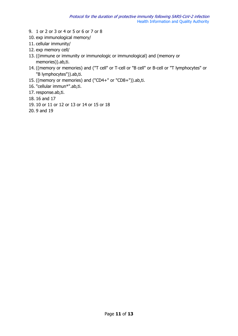- 9. 1 or 2 or 3 or 4 or 5 or 6 or 7 or 8
- 10. exp immunological memory/
- 11. cellular immunity/
- 12. exp memory cell/
- 13. ((immune or immunity or immunologic or immunological) and (memory or memories)).ab,ti.
- 14. ((memory or memories) and ("T cell" or T-cell or "B cell" or B-cell or "T lymphocytes" or "B lymphocytes")).ab,ti.
- 15. ((memory or memories) and ("CD4+" or "CD8+")).ab,ti.
- 16. "cellular immun\*".ab,ti.
- 17. response.ab,ti.
- 18. 16 and 17
- 19. 10 or 11 or 12 or 13 or 14 or 15 or 18
- 20. 9 and 19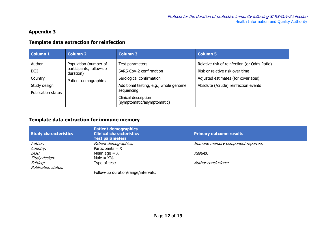#### **Appendix 3**

#### **Template data extraction for reinfection**

| <b>Column 1</b>                                                       | <b>Column 2</b>                                                                       | <b>Column 3</b>                                                                                                                                                                       | <b>Column 5</b>                                                                                                                                                |
|-----------------------------------------------------------------------|---------------------------------------------------------------------------------------|---------------------------------------------------------------------------------------------------------------------------------------------------------------------------------------|----------------------------------------------------------------------------------------------------------------------------------------------------------------|
| Author<br><b>DOI</b><br>Country<br>Study design<br>Publication status | Population (number of<br>participants, follow-up<br>duration)<br>Patient demographics | Test parameters:<br>SARS-CoV-2 confirmation<br>Serological confirmation<br>Additional testing, e.g., whole genome<br>sequencing<br>Clinical description<br>(symptomatic/asymptomatic) | Relative risk of reinfection (or Odds Ratio)<br>Risk or relative risk over time<br>Adjusted estimates (for covariates)<br>Absolute (/crude) reinfection events |

#### **Template data extraction for immune memory**

| <b>Study characteristics</b> | <b>Patient demographics</b><br><b>Clinical characteristics</b><br><b>Test parameters</b> | <b>Primary outcome results</b>    |
|------------------------------|------------------------------------------------------------------------------------------|-----------------------------------|
| Author:                      | Patient demographics:                                                                    | Immune memory component reported: |
| Country:                     | Participants $= X$                                                                       |                                   |
| <i>DOI:</i>                  | Mean age $= X$                                                                           | Results:                          |
| Study design:                | Male = $X\%$                                                                             |                                   |
| Setting:                     | Type of test:                                                                            | Author conclusions:               |
| Publication status:          |                                                                                          |                                   |
|                              | Follow-up duration/range/intervals:                                                      |                                   |